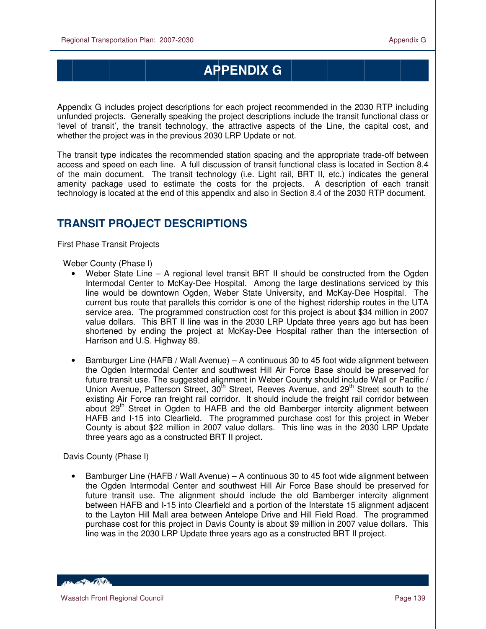# **APPENDIX G**

Appendix G includes project descriptions for each project recommended in the 2030 RTP including unfunded projects. Generally speaking the project descriptions include the transit functional class or 'level of transit', the transit technology, the attractive aspects of the Line, the capital cost, and whether the project was in the previous 2030 LRP Update or not.

The transit type indicates the recommended station spacing and the appropriate trade-off between access and speed on each line. A full discussion of transit functional class is located in Section 8.4 of the main document. The transit technology (i.e. Light rail, BRT II, etc.) indicates the general amenity package used to estimate the costs for the projects. A description of each transit technology is located at the end of this appendix and also in Section 8.4 of the 2030 RTP document.

## **TRANSIT PROJECT DESCRIPTIONS**

First Phase Transit Projects

Weber County (Phase I)

- Weber State Line A regional level transit BRT II should be constructed from the Ogden Intermodal Center to McKay-Dee Hospital. Among the large destinations serviced by this line would be downtown Ogden, Weber State University, and McKay-Dee Hospital. The current bus route that parallels this corridor is one of the highest ridership routes in the UTA service area. The programmed construction cost for this project is about \$34 million in 2007 value dollars. This BRT II line was in the 2030 LRP Update three years ago but has been shortened by ending the project at McKay-Dee Hospital rather than the intersection of Harrison and U.S. Highway 89.
- Bamburger Line (HAFB / Wall Avenue) A continuous 30 to 45 foot wide alignment between the Ogden Intermodal Center and southwest Hill Air Force Base should be preserved for future transit use. The suggested alignment in Weber County should include Wall or Pacific / Union Avenue, Patterson Street, 30<sup>th</sup> Street, Reeves Avenue, and 29<sup>th</sup> Street south to the existing Air Force ran freight rail corridor. It should include the freight rail corridor between about  $29<sup>th</sup>$  Street in Ogden to HAFB and the old Bamberger intercity alignment between HAFB and I-15 into Clearfield. The programmed purchase cost for this project in Weber County is about \$22 million in 2007 value dollars. This line was in the 2030 LRP Update three years ago as a constructed BRT II project.

Davis County (Phase I)

• Bamburger Line (HAFB / Wall Avenue) – A continuous 30 to 45 foot wide alignment between the Ogden Intermodal Center and southwest Hill Air Force Base should be preserved for future transit use. The alignment should include the old Bamberger intercity alignment between HAFB and I-15 into Clearfield and a portion of the Interstate 15 alignment adjacent to the Layton Hill Mall area between Antelope Drive and Hill Field Road. The programmed purchase cost for this project in Davis County is about \$9 million in 2007 value dollars. This line was in the 2030 LRP Update three years ago as a constructed BRT II project.

**Control Dates**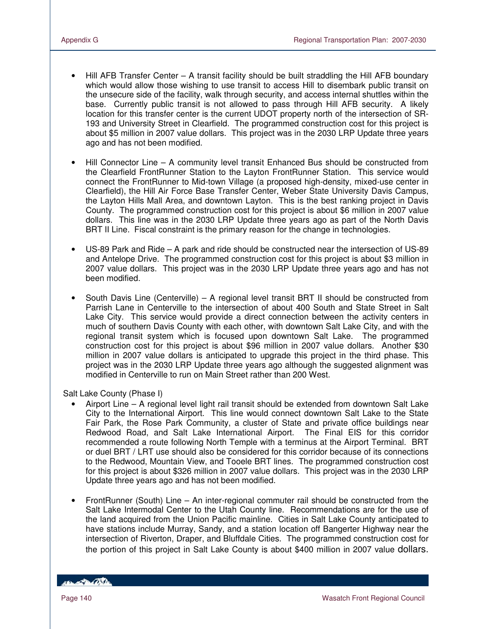- Hill AFB Transfer Center A transit facility should be built straddling the Hill AFB boundary which would allow those wishing to use transit to access Hill to disembark public transit on the unsecure side of the facility, walk through security, and access internal shuttles within the base. Currently public transit is not allowed to pass through Hill AFB security. A likely location for this transfer center is the current UDOT property north of the intersection of SR-193 and University Street in Clearfield. The programmed construction cost for this project is about \$5 million in 2007 value dollars. This project was in the 2030 LRP Update three years ago and has not been modified.
- Hill Connector Line A community level transit Enhanced Bus should be constructed from the Clearfield FrontRunner Station to the Layton FrontRunner Station. This service would connect the FrontRunner to Mid-town Village (a proposed high-density, mixed-use center in Clearfield), the Hill Air Force Base Transfer Center, Weber State University Davis Campus, the Layton Hills Mall Area, and downtown Layton. This is the best ranking project in Davis County. The programmed construction cost for this project is about \$6 million in 2007 value dollars. This line was in the 2030 LRP Update three years ago as part of the North Davis BRT II Line. Fiscal constraint is the primary reason for the change in technologies.
- US-89 Park and Ride A park and ride should be constructed near the intersection of US-89 and Antelope Drive. The programmed construction cost for this project is about \$3 million in 2007 value dollars. This project was in the 2030 LRP Update three years ago and has not been modified.
- South Davis Line (Centerville) A regional level transit BRT II should be constructed from Parrish Lane in Centerville to the intersection of about 400 South and State Street in Salt Lake City. This service would provide a direct connection between the activity centers in much of southern Davis County with each other, with downtown Salt Lake City, and with the regional transit system which is focused upon downtown Salt Lake. The programmed construction cost for this project is about \$96 million in 2007 value dollars. Another \$30 million in 2007 value dollars is anticipated to upgrade this project in the third phase. This project was in the 2030 LRP Update three years ago although the suggested alignment was modified in Centerville to run on Main Street rather than 200 West.

Salt Lake County (Phase I)

- Airport Line A regional level light rail transit should be extended from downtown Salt Lake City to the International Airport. This line would connect downtown Salt Lake to the State Fair Park, the Rose Park Community, a cluster of State and private office buildings near Redwood Road, and Salt Lake International Airport. The Final EIS for this corridor recommended a route following North Temple with a terminus at the Airport Terminal. BRT or duel BRT / LRT use should also be considered for this corridor because of its connections to the Redwood, Mountain View, and Tooele BRT lines. The programmed construction cost for this project is about \$326 million in 2007 value dollars. This project was in the 2030 LRP Update three years ago and has not been modified.
- FrontRunner (South) Line An inter-regional commuter rail should be constructed from the Salt Lake Intermodal Center to the Utah County line. Recommendations are for the use of the land acquired from the Union Pacific mainline. Cities in Salt Lake County anticipated to have stations include Murray, Sandy, and a station location off Bangerter Highway near the intersection of Riverton, Draper, and Bluffdale Cities. The programmed construction cost for the portion of this project in Salt Lake County is about \$400 million in 2007 value dollars.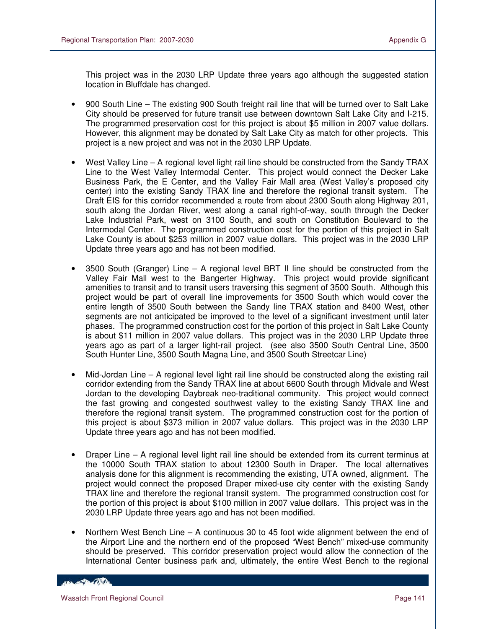This project was in the 2030 LRP Update three years ago although the suggested station location in Bluffdale has changed.

- 900 South Line The existing 900 South freight rail line that will be turned over to Salt Lake City should be preserved for future transit use between downtown Salt Lake City and I-215. The programmed preservation cost for this project is about \$5 million in 2007 value dollars. However, this alignment may be donated by Salt Lake City as match for other projects. This project is a new project and was not in the 2030 LRP Update.
- West Valley Line A regional level light rail line should be constructed from the Sandy TRAX Line to the West Valley Intermodal Center. This project would connect the Decker Lake Business Park, the E Center, and the Valley Fair Mall area (West Valley's proposed city center) into the existing Sandy TRAX line and therefore the regional transit system. The Draft EIS for this corridor recommended a route from about 2300 South along Highway 201, south along the Jordan River, west along a canal right-of-way, south through the Decker Lake Industrial Park, west on 3100 South, and south on Constitution Boulevard to the Intermodal Center. The programmed construction cost for the portion of this project in Salt Lake County is about \$253 million in 2007 value dollars. This project was in the 2030 LRP Update three years ago and has not been modified.
- 3500 South (Granger) Line A regional level BRT II line should be constructed from the Valley Fair Mall west to the Bangerter Highway. This project would provide significant amenities to transit and to transit users traversing this segment of 3500 South. Although this project would be part of overall line improvements for 3500 South which would cover the entire length of 3500 South between the Sandy line TRAX station and 8400 West, other segments are not anticipated be improved to the level of a significant investment until later phases. The programmed construction cost for the portion of this project in Salt Lake County is about \$11 million in 2007 value dollars. This project was in the 2030 LRP Update three years ago as part of a larger light-rail project. (see also 3500 South Central Line, 3500 South Hunter Line, 3500 South Magna Line, and 3500 South Streetcar Line)
- Mid-Jordan Line A regional level light rail line should be constructed along the existing rail corridor extending from the Sandy TRAX line at about 6600 South through Midvale and West Jordan to the developing Daybreak neo-traditional community. This project would connect the fast growing and congested southwest valley to the existing Sandy TRAX line and therefore the regional transit system. The programmed construction cost for the portion of this project is about \$373 million in 2007 value dollars. This project was in the 2030 LRP Update three years ago and has not been modified.
- Draper Line A regional level light rail line should be extended from its current terminus at the 10000 South TRAX station to about 12300 South in Draper. The local alternatives analysis done for this alignment is recommending the existing, UTA owned, alignment. The project would connect the proposed Draper mixed-use city center with the existing Sandy TRAX line and therefore the regional transit system. The programmed construction cost for the portion of this project is about \$100 million in 2007 value dollars. This project was in the 2030 LRP Update three years ago and has not been modified.
- Northern West Bench Line A continuous 30 to 45 foot wide alignment between the end of the Airport Line and the northern end of the proposed "West Bench" mixed-use community should be preserved. This corridor preservation project would allow the connection of the International Center business park and, ultimately, the entire West Bench to the regional

#### **Contractor**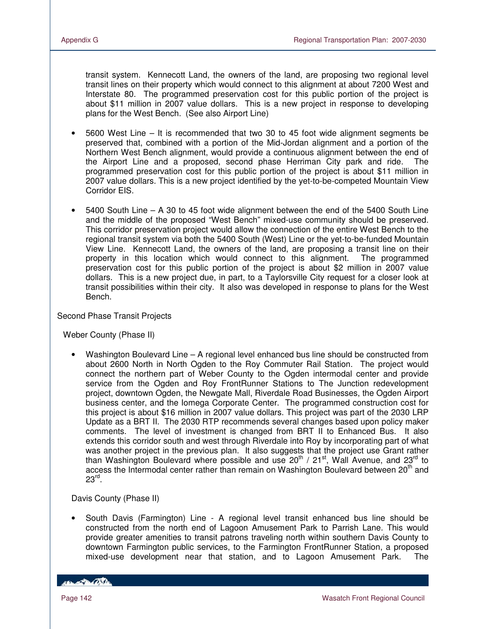transit system. Kennecott Land, the owners of the land, are proposing two regional level transit lines on their property which would connect to this alignment at about 7200 West and Interstate 80. The programmed preservation cost for this public portion of the project is about \$11 million in 2007 value dollars. This is a new project in response to developing plans for the West Bench. (See also Airport Line)

- 5600 West Line It is recommended that two 30 to 45 foot wide alignment segments be preserved that, combined with a portion of the Mid-Jordan alignment and a portion of the Northern West Bench alignment, would provide a continuous alignment between the end of the Airport Line and a proposed, second phase Herriman City park and ride. The programmed preservation cost for this public portion of the project is about \$11 million in 2007 value dollars. This is a new project identified by the yet-to-be-competed Mountain View Corridor EIS.
- 5400 South Line A 30 to 45 foot wide alignment between the end of the 5400 South Line and the middle of the proposed "West Bench" mixed-use community should be preserved. This corridor preservation project would allow the connection of the entire West Bench to the regional transit system via both the 5400 South (West) Line or the yet-to-be-funded Mountain View Line. Kennecott Land, the owners of the land, are proposing a transit line on their property in this location which would connect to this alignment. The programmed preservation cost for this public portion of the project is about \$2 million in 2007 value dollars. This is a new project due, in part, to a Taylorsville City request for a closer look at transit possibilities within their city. It also was developed in response to plans for the West Bench.

Second Phase Transit Projects

Weber County (Phase II)

• Washington Boulevard Line – A regional level enhanced bus line should be constructed from about 2600 North in North Ogden to the Roy Commuter Rail Station. The project would connect the northern part of Weber County to the Ogden intermodal center and provide service from the Ogden and Roy FrontRunner Stations to The Junction redevelopment project, downtown Ogden, the Newgate Mall, Riverdale Road Businesses, the Ogden Airport business center, and the Iomega Corporate Center. The programmed construction cost for this project is about \$16 million in 2007 value dollars. This project was part of the 2030 LRP Update as a BRT II. The 2030 RTP recommends several changes based upon policy maker comments. The level of investment is changed from BRT II to Enhanced Bus. It also extends this corridor south and west through Riverdale into Roy by incorporating part of what was another project in the previous plan. It also suggests that the project use Grant rather than Washington Boulevard where possible and use  $20<sup>th</sup>$  /  $21<sup>st</sup>$ , Wall Avenue, and  $23<sup>rd</sup>$  to access the Intermodal center rather than remain on Washington Boulevard between 20<sup>th</sup> and  $23^{\mathsf{rd}}$ .

Davis County (Phase II)

• South Davis (Farmington) Line - A regional level transit enhanced bus line should be constructed from the north end of Lagoon Amusement Park to Parrish Lane. This would provide greater amenities to transit patrons traveling north within southern Davis County to downtown Farmington public services, to the Farmington FrontRunner Station, a proposed mixed-use development near that station, and to Lagoon Amusement Park. The

*COLLEGE DE COSTA*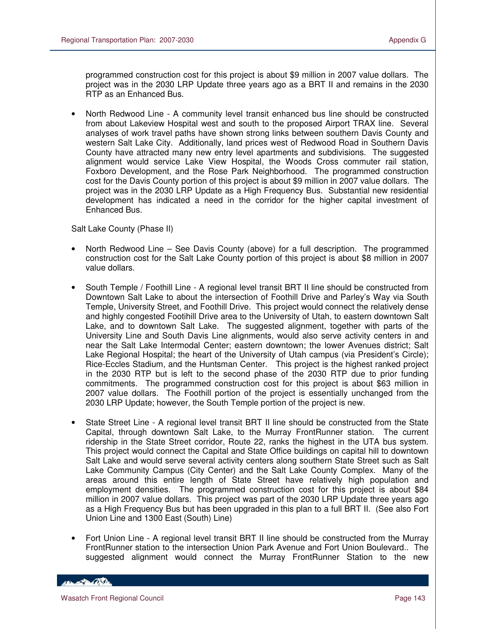programmed construction cost for this project is about \$9 million in 2007 value dollars. The project was in the 2030 LRP Update three years ago as a BRT II and remains in the 2030 RTP as an Enhanced Bus.

• North Redwood Line - A community level transit enhanced bus line should be constructed from about Lakeview Hospital west and south to the proposed Airport TRAX line. Several analyses of work travel paths have shown strong links between southern Davis County and western Salt Lake City. Additionally, land prices west of Redwood Road in Southern Davis County have attracted many new entry level apartments and subdivisions. The suggested alignment would service Lake View Hospital, the Woods Cross commuter rail station, Foxboro Development, and the Rose Park Neighborhood. The programmed construction cost for the Davis County portion of this project is about \$9 million in 2007 value dollars. The project was in the 2030 LRP Update as a High Frequency Bus. Substantial new residential development has indicated a need in the corridor for the higher capital investment of Enhanced Bus.

Salt Lake County (Phase II)

- North Redwood Line See Davis County (above) for a full description. The programmed construction cost for the Salt Lake County portion of this project is about \$8 million in 2007 value dollars.
- South Temple / Foothill Line A regional level transit BRT II line should be constructed from Downtown Salt Lake to about the intersection of Foothill Drive and Parley's Way via South Temple, University Street, and Foothill Drive. This project would connect the relatively dense and highly congested Footihill Drive area to the University of Utah, to eastern downtown Salt Lake, and to downtown Salt Lake. The suggested alignment, together with parts of the University Line and South Davis Line alignments, would also serve activity centers in and near the Salt Lake Intermodal Center; eastern downtown; the lower Avenues district; Salt Lake Regional Hospital; the heart of the University of Utah campus (via President's Circle); Rice-Eccles Stadium, and the Huntsman Center. This project is the highest ranked project in the 2030 RTP but is left to the second phase of the 2030 RTP due to prior funding commitments. The programmed construction cost for this project is about \$63 million in 2007 value dollars. The Foothill portion of the project is essentially unchanged from the 2030 LRP Update; however, the South Temple portion of the project is new.
- State Street Line A regional level transit BRT II line should be constructed from the State Capital, through downtown Salt Lake, to the Murray FrontRunner station. The current ridership in the State Street corridor, Route 22, ranks the highest in the UTA bus system. This project would connect the Capital and State Office buildings on capital hill to downtown Salt Lake and would serve several activity centers along southern State Street such as Salt Lake Community Campus (City Center) and the Salt Lake County Complex. Many of the areas around this entire length of State Street have relatively high population and employment densities. The programmed construction cost for this project is about \$84 million in 2007 value dollars. This project was part of the 2030 LRP Update three years ago as a High Frequency Bus but has been upgraded in this plan to a full BRT II. (See also Fort Union Line and 1300 East (South) Line)
- Fort Union Line A regional level transit BRT II line should be constructed from the Murray FrontRunner station to the intersection Union Park Avenue and Fort Union Boulevard.. The suggested alignment would connect the Murray FrontRunner Station to the new

**CONTRACTOR**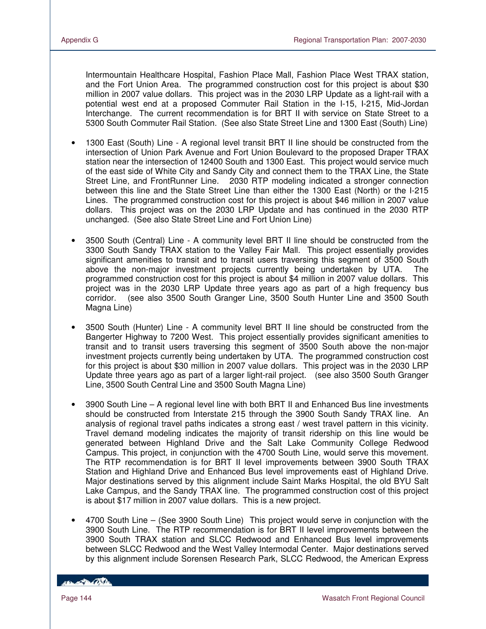Intermountain Healthcare Hospital, Fashion Place Mall, Fashion Place West TRAX station, and the Fort Union Area. The programmed construction cost for this project is about \$30 million in 2007 value dollars. This project was in the 2030 LRP Update as a light-rail with a potential west end at a proposed Commuter Rail Station in the I-15, I-215, Mid-Jordan Interchange. The current recommendation is for BRT II with service on State Street to a 5300 South Commuter Rail Station. (See also State Street Line and 1300 East (South) Line)

- 1300 East (South) Line A regional level transit BRT II line should be constructed from the intersection of Union Park Avenue and Fort Union Boulevard to the proposed Draper TRAX station near the intersection of 12400 South and 1300 East. This project would service much of the east side of White City and Sandy City and connect them to the TRAX Line, the State Street Line, and FrontRunner Line. 2030 RTP modeling indicated a stronger connection between this line and the State Street Line than either the 1300 East (North) or the I-215 Lines. The programmed construction cost for this project is about \$46 million in 2007 value dollars. This project was on the 2030 LRP Update and has continued in the 2030 RTP unchanged. (See also State Street Line and Fort Union Line)
- 3500 South (Central) Line A community level BRT II line should be constructed from the 3300 South Sandy TRAX station to the Valley Fair Mall. This project essentially provides significant amenities to transit and to transit users traversing this segment of 3500 South above the non-major investment projects currently being undertaken by UTA. The programmed construction cost for this project is about \$4 million in 2007 value dollars. This project was in the 2030 LRP Update three years ago as part of a high frequency bus corridor. (see also 3500 South Granger Line, 3500 South Hunter Line and 3500 South Magna Line)
- 3500 South (Hunter) Line A community level BRT II line should be constructed from the Bangerter Highway to 7200 West. This project essentially provides significant amenities to transit and to transit users traversing this segment of 3500 South above the non-major investment projects currently being undertaken by UTA. The programmed construction cost for this project is about \$30 million in 2007 value dollars. This project was in the 2030 LRP Update three years ago as part of a larger light-rail project. (see also 3500 South Granger Line, 3500 South Central Line and 3500 South Magna Line)
- 3900 South Line A regional level line with both BRT II and Enhanced Bus line investments should be constructed from Interstate 215 through the 3900 South Sandy TRAX line. An analysis of regional travel paths indicates a strong east / west travel pattern in this vicinity. Travel demand modeling indicates the majority of transit ridership on this line would be generated between Highland Drive and the Salt Lake Community College Redwood Campus. This project, in conjunction with the 4700 South Line, would serve this movement. The RTP recommendation is for BRT II level improvements between 3900 South TRAX Station and Highland Drive and Enhanced Bus level improvements east of Highland Drive. Major destinations served by this alignment include Saint Marks Hospital, the old BYU Salt Lake Campus, and the Sandy TRAX line. The programmed construction cost of this project is about \$17 million in 2007 value dollars. This is a new project.
- 4700 South Line (See 3900 South Line) This project would serve in conjunction with the 3900 South Line. The RTP recommendation is for BRT II level improvements between the 3900 South TRAX station and SLCC Redwood and Enhanced Bus level improvements between SLCC Redwood and the West Valley Intermodal Center. Major destinations served by this alignment include Sorensen Research Park, SLCC Redwood, the American Express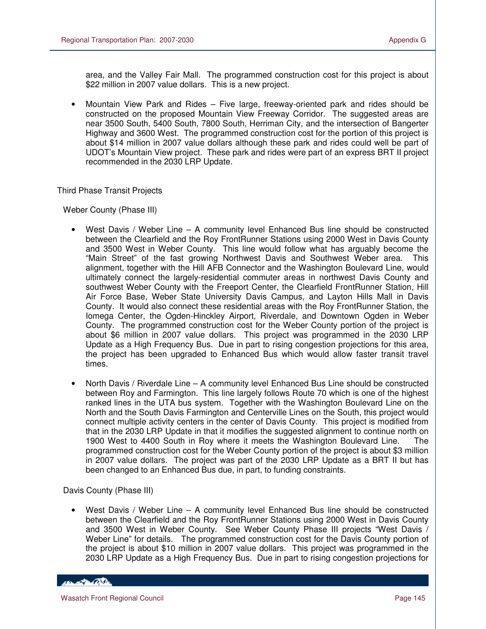area, and the Valley Fair Mall. The programmed construction cost for this project is about \$22 million in 2007 value dollars. This is a new project.

• Mountain View Park and Rides – Five large, freeway-oriented park and rides should be constructed on the proposed Mountain View Freeway Corridor. The suggested areas are near 3500 South, 5400 South, 7800 South, Herriman City, and the intersection of Bangerter Highway and 3600 West. The programmed construction cost for the portion of this project is about \$14 million in 2007 value dollars although these park and rides could well be part of UDOT's Mountain View project. These park and rides were part of an express BRT II project recommended in the 2030 LRP Update.

Third Phase Transit Projects

Weber County (Phase III)

- West Davis / Weber Line A community level Enhanced Bus line should be constructed between the Clearfield and the Roy FrontRunner Stations using 2000 West in Davis County and 3500 West in Weber County. This line would follow what has arguably become the "Main Street" of the fast growing Northwest Davis and Southwest Weber area. This alignment, together with the Hill AFB Connector and the Washington Boulevard Line, would ultimately connect the largely-residential commuter areas in northwest Davis County and southwest Weber County with the Freeport Center, the Clearfield FrontRunner Station, Hill Air Force Base, Weber State University Davis Campus, and Layton Hills Mall in Davis County. It would also connect these residential areas with the Roy FrontRunner Station, the Iomega Center, the Ogden-Hinckley Airport, Riverdale, and Downtown Ogden in Weber County. The programmed construction cost for the Weber County portion of the project is about \$6 million in 2007 value dollars. This project was programmed in the 2030 LRP Update as a High Frequency Bus. Due in part to rising congestion projections for this area, the project has been upgraded to Enhanced Bus which would allow faster transit travel times.
- North Davis / Riverdale Line A community level Enhanced Bus Line should be constructed between Roy and Farmington. This line largely follows Route 70 which is one of the highest ranked lines in the UTA bus system. Together with the Washington Boulevard Line on the North and the South Davis Farmington and Centerville Lines on the South, this project would connect multiple activity centers in the center of Davis County. This project is modified from that in the 2030 LRP Update in that it modifies the suggested alignment to continue north on 1900 West to 4400 South in Roy where it meets the Washington Boulevard Line. The programmed construction cost for the Weber County portion of the project is about \$3 million in 2007 value dollars. The project was part of the 2030 LRP Update as a BRT II but has been changed to an Enhanced Bus due, in part, to funding constraints.

Davis County (Phase III)

• West Davis / Weber Line – A community level Enhanced Bus line should be constructed between the Clearfield and the Roy FrontRunner Stations using 2000 West in Davis County and 3500 West in Weber County. See Weber County Phase III projects "West Davis / Weber Line" for details. The programmed construction cost for the Davis County portion of the project is about \$10 million in 2007 value dollars. This project was programmed in the 2030 LRP Update as a High Frequency Bus. Due in part to rising congestion projections for

**CONTRACTOR**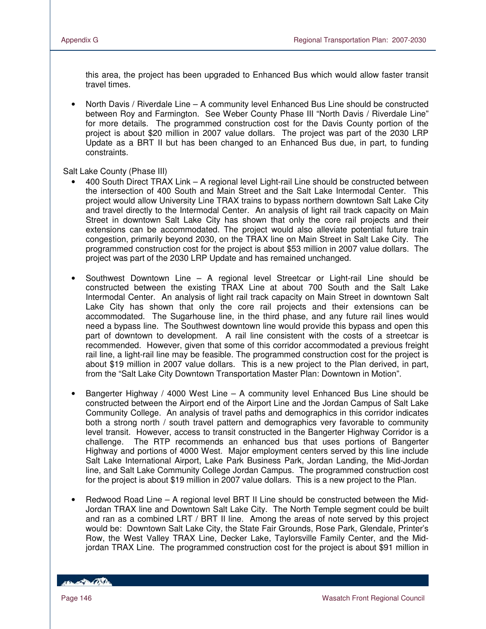this area, the project has been upgraded to Enhanced Bus which would allow faster transit travel times.

• North Davis / Riverdale Line – A community level Enhanced Bus Line should be constructed between Roy and Farmington. See Weber County Phase III "North Davis / Riverdale Line" for more details. The programmed construction cost for the Davis County portion of the project is about \$20 million in 2007 value dollars. The project was part of the 2030 LRP Update as a BRT II but has been changed to an Enhanced Bus due, in part, to funding constraints.

Salt Lake County (Phase III)

- 400 South Direct TRAX Link A regional level Light-rail Line should be constructed between the intersection of 400 South and Main Street and the Salt Lake Intermodal Center. This project would allow University Line TRAX trains to bypass northern downtown Salt Lake City and travel directly to the Intermodal Center. An analysis of light rail track capacity on Main Street in downtown Salt Lake City has shown that only the core rail projects and their extensions can be accommodated. The project would also alleviate potential future train congestion, primarily beyond 2030, on the TRAX line on Main Street in Salt Lake City. The programmed construction cost for the project is about \$53 million in 2007 value dollars. The project was part of the 2030 LRP Update and has remained unchanged.
- Southwest Downtown Line A regional level Streetcar or Light-rail Line should be constructed between the existing TRAX Line at about 700 South and the Salt Lake Intermodal Center. An analysis of light rail track capacity on Main Street in downtown Salt Lake City has shown that only the core rail projects and their extensions can be accommodated. The Sugarhouse line, in the third phase, and any future rail lines would need a bypass line. The Southwest downtown line would provide this bypass and open this part of downtown to development. A rail line consistent with the costs of a streetcar is recommended. However, given that some of this corridor accommodated a previous freight rail line, a light-rail line may be feasible. The programmed construction cost for the project is about \$19 million in 2007 value dollars. This is a new project to the Plan derived, in part, from the "Salt Lake City Downtown Transportation Master Plan: Downtown in Motion".
- Bangerter Highway / 4000 West Line  $-$  A community level Enhanced Bus Line should be constructed between the Airport end of the Airport Line and the Jordan Campus of Salt Lake Community College. An analysis of travel paths and demographics in this corridor indicates both a strong north / south travel pattern and demographics very favorable to community level transit. However, access to transit constructed in the Bangerter Highway Corridor is a challenge. The RTP recommends an enhanced bus that uses portions of Bangerter Highway and portions of 4000 West. Major employment centers served by this line include Salt Lake International Airport, Lake Park Business Park, Jordan Landing, the Mid-Jordan line, and Salt Lake Community College Jordan Campus. The programmed construction cost for the project is about \$19 million in 2007 value dollars. This is a new project to the Plan.
- Redwood Road Line A regional level BRT II Line should be constructed between the Mid-Jordan TRAX line and Downtown Salt Lake City. The North Temple segment could be built and ran as a combined LRT / BRT II line. Among the areas of note served by this project would be: Downtown Salt Lake City, the State Fair Grounds, Rose Park, Glendale, Printer's Row, the West Valley TRAX Line, Decker Lake, Taylorsville Family Center, and the Midjordan TRAX Line. The programmed construction cost for the project is about \$91 million in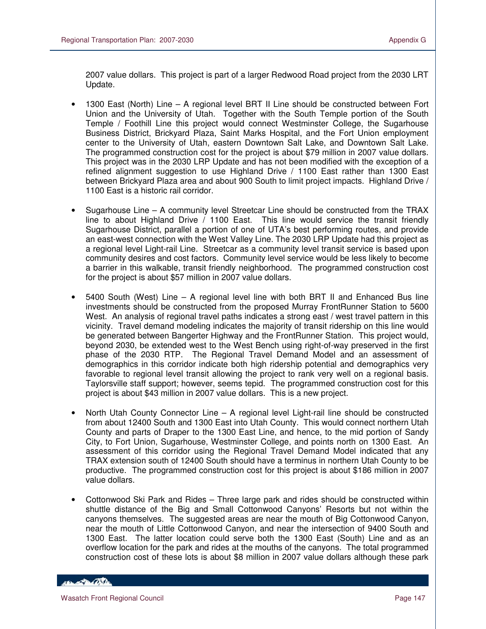2007 value dollars. This project is part of a larger Redwood Road project from the 2030 LRT Update.

- 1300 East (North) Line A regional level BRT II Line should be constructed between Fort Union and the University of Utah. Together with the South Temple portion of the South Temple / Foothill Line this project would connect Westminster College, the Sugarhouse Business District, Brickyard Plaza, Saint Marks Hospital, and the Fort Union employment center to the University of Utah, eastern Downtown Salt Lake, and Downtown Salt Lake. The programmed construction cost for the project is about \$79 million in 2007 value dollars. This project was in the 2030 LRP Update and has not been modified with the exception of a refined alignment suggestion to use Highland Drive / 1100 East rather than 1300 East between Brickyard Plaza area and about 900 South to limit project impacts. Highland Drive / 1100 East is a historic rail corridor.
- Sugarhouse Line A community level Streetcar Line should be constructed from the TRAX line to about Highland Drive / 1100 East. This line would service the transit friendly Sugarhouse District, parallel a portion of one of UTA's best performing routes, and provide an east-west connection with the West Valley Line. The 2030 LRP Update had this project as a regional level Light-rail Line. Streetcar as a community level transit service is based upon community desires and cost factors. Community level service would be less likely to become a barrier in this walkable, transit friendly neighborhood. The programmed construction cost for the project is about \$57 million in 2007 value dollars.
- 5400 South (West) Line A regional level line with both BRT II and Enhanced Bus line investments should be constructed from the proposed Murray FrontRunner Station to 5600 West. An analysis of regional travel paths indicates a strong east / west travel pattern in this vicinity. Travel demand modeling indicates the majority of transit ridership on this line would be generated between Bangerter Highway and the FrontRunner Station. This project would, beyond 2030, be extended west to the West Bench using right-of-way preserved in the first phase of the 2030 RTP. The Regional Travel Demand Model and an assessment of demographics in this corridor indicate both high ridership potential and demographics very favorable to regional level transit allowing the project to rank very well on a regional basis. Taylorsville staff support; however, seems tepid. The programmed construction cost for this project is about \$43 million in 2007 value dollars. This is a new project.
- North Utah County Connector Line A regional level Light-rail line should be constructed from about 12400 South and 1300 East into Utah County. This would connect northern Utah County and parts of Draper to the 1300 East Line, and hence, to the mid portion of Sandy City, to Fort Union, Sugarhouse, Westminster College, and points north on 1300 East. An assessment of this corridor using the Regional Travel Demand Model indicated that any TRAX extension south of 12400 South should have a terminus in northern Utah County to be productive. The programmed construction cost for this project is about \$186 million in 2007 value dollars.
- Cottonwood Ski Park and Rides Three large park and rides should be constructed within shuttle distance of the Big and Small Cottonwood Canyons' Resorts but not within the canyons themselves. The suggested areas are near the mouth of Big Cottonwood Canyon, near the mouth of Little Cottonwood Canyon, and near the intersection of 9400 South and 1300 East. The latter location could serve both the 1300 East (South) Line and as an overflow location for the park and rides at the mouths of the canyons. The total programmed construction cost of these lots is about \$8 million in 2007 value dollars although these park

**CONTRACTOR**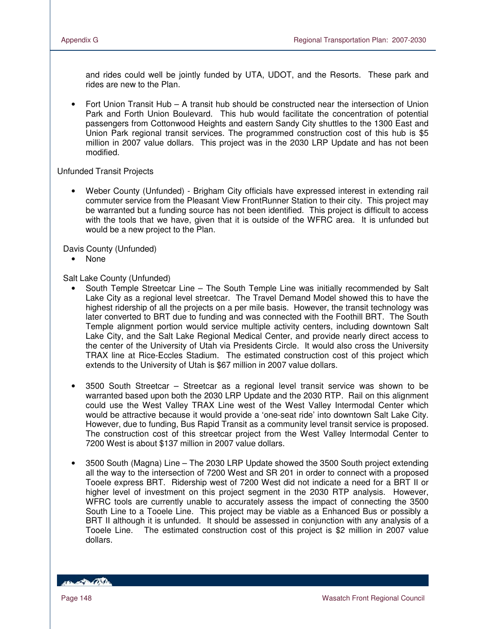and rides could well be jointly funded by UTA, UDOT, and the Resorts. These park and rides are new to the Plan.

• Fort Union Transit Hub – A transit hub should be constructed near the intersection of Union Park and Forth Union Boulevard. This hub would facilitate the concentration of potential passengers from Cottonwood Heights and eastern Sandy City shuttles to the 1300 East and Union Park regional transit services. The programmed construction cost of this hub is \$5 million in 2007 value dollars. This project was in the 2030 LRP Update and has not been modified.

### Unfunded Transit Projects

• Weber County (Unfunded) - Brigham City officials have expressed interest in extending rail commuter service from the Pleasant View FrontRunner Station to their city. This project may be warranted but a funding source has not been identified. This project is difficult to access with the tools that we have, given that it is outside of the WFRC area. It is unfunded but would be a new project to the Plan.

Davis County (Unfunded)

• None

Salt Lake County (Unfunded)

- South Temple Streetcar Line The South Temple Line was initially recommended by Salt Lake City as a regional level streetcar. The Travel Demand Model showed this to have the highest ridership of all the projects on a per mile basis. However, the transit technology was later converted to BRT due to funding and was connected with the Foothill BRT. The South Temple alignment portion would service multiple activity centers, including downtown Salt Lake City, and the Salt Lake Regional Medical Center, and provide nearly direct access to the center of the University of Utah via Presidents Circle. It would also cross the University TRAX line at Rice-Eccles Stadium. The estimated construction cost of this project which extends to the University of Utah is \$67 million in 2007 value dollars.
- 3500 South Streetcar Streetcar as a regional level transit service was shown to be warranted based upon both the 2030 LRP Update and the 2030 RTP. Rail on this alignment could use the West Valley TRAX Line west of the West Valley Intermodal Center which would be attractive because it would provide a 'one-seat ride' into downtown Salt Lake City. However, due to funding, Bus Rapid Transit as a community level transit service is proposed. The construction cost of this streetcar project from the West Valley Intermodal Center to 7200 West is about \$137 million in 2007 value dollars.
- 3500 South (Magna) Line The 2030 LRP Update showed the 3500 South project extending all the way to the intersection of 7200 West and SR 201 in order to connect with a proposed Tooele express BRT. Ridership west of 7200 West did not indicate a need for a BRT II or higher level of investment on this project segment in the 2030 RTP analysis. However, WFRC tools are currently unable to accurately assess the impact of connecting the 3500 South Line to a Tooele Line. This project may be viable as a Enhanced Bus or possibly a BRT II although it is unfunded. It should be assessed in conjunction with any analysis of a Tooele Line. The estimated construction cost of this project is \$2 million in 2007 value dollars.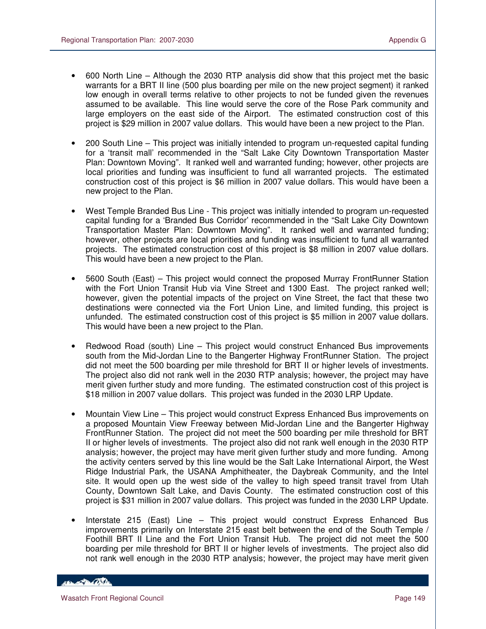- 600 North Line Although the 2030 RTP analysis did show that this project met the basic warrants for a BRT II line (500 plus boarding per mile on the new project segment) it ranked low enough in overall terms relative to other projects to not be funded given the revenues assumed to be available. This line would serve the core of the Rose Park community and large employers on the east side of the Airport. The estimated construction cost of this project is \$29 million in 2007 value dollars. This would have been a new project to the Plan.
- 200 South Line This project was initially intended to program un-requested capital funding for a 'transit mall' recommended in the "Salt Lake City Downtown Transportation Master Plan: Downtown Moving". It ranked well and warranted funding; however, other projects are local priorities and funding was insufficient to fund all warranted projects. The estimated construction cost of this project is \$6 million in 2007 value dollars. This would have been a new project to the Plan.
- West Temple Branded Bus Line This project was initially intended to program un-requested capital funding for a 'Branded Bus Corridor' recommended in the "Salt Lake City Downtown Transportation Master Plan: Downtown Moving". It ranked well and warranted funding; however, other projects are local priorities and funding was insufficient to fund all warranted projects. The estimated construction cost of this project is \$8 million in 2007 value dollars. This would have been a new project to the Plan.
- 5600 South (East) This project would connect the proposed Murray FrontRunner Station with the Fort Union Transit Hub via Vine Street and 1300 East. The project ranked well; however, given the potential impacts of the project on Vine Street, the fact that these two destinations were connected via the Fort Union Line, and limited funding, this project is unfunded. The estimated construction cost of this project is \$5 million in 2007 value dollars. This would have been a new project to the Plan.
- Redwood Road (south) Line This project would construct Enhanced Bus improvements south from the Mid-Jordan Line to the Bangerter Highway FrontRunner Station. The project did not meet the 500 boarding per mile threshold for BRT II or higher levels of investments. The project also did not rank well in the 2030 RTP analysis; however, the project may have merit given further study and more funding. The estimated construction cost of this project is \$18 million in 2007 value dollars. This project was funded in the 2030 LRP Update.
- Mountain View Line This project would construct Express Enhanced Bus improvements on a proposed Mountain View Freeway between Mid-Jordan Line and the Bangerter Highway FrontRunner Station. The project did not meet the 500 boarding per mile threshold for BRT II or higher levels of investments. The project also did not rank well enough in the 2030 RTP analysis; however, the project may have merit given further study and more funding. Among the activity centers served by this line would be the Salt Lake International Airport, the West Ridge Industrial Park, the USANA Amphitheater, the Daybreak Community, and the Intel site. It would open up the west side of the valley to high speed transit travel from Utah County, Downtown Salt Lake, and Davis County. The estimated construction cost of this project is \$31 million in 2007 value dollars. This project was funded in the 2030 LRP Update.
- Interstate 215 (East) Line This project would construct Express Enhanced Bus improvements primarily on Interstate 215 east belt between the end of the South Temple / Foothill BRT II Line and the Fort Union Transit Hub. The project did not meet the 500 boarding per mile threshold for BRT II or higher levels of investments. The project also did not rank well enough in the 2030 RTP analysis; however, the project may have merit given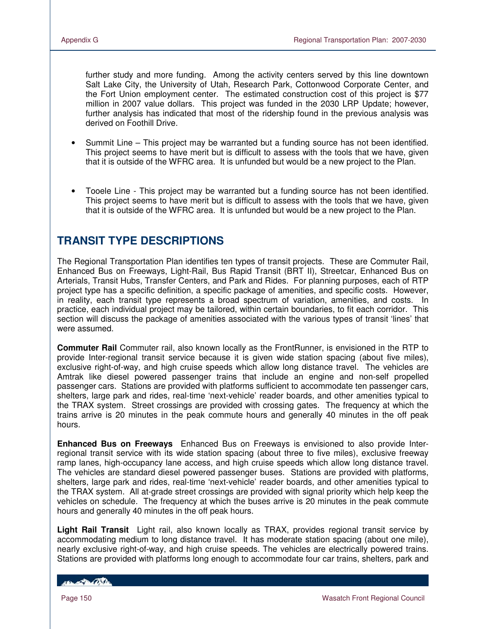further study and more funding. Among the activity centers served by this line downtown Salt Lake City, the University of Utah, Research Park, Cottonwood Corporate Center, and the Fort Union employment center. The estimated construction cost of this project is \$77 million in 2007 value dollars. This project was funded in the 2030 LRP Update; however, further analysis has indicated that most of the ridership found in the previous analysis was derived on Foothill Drive.

- Summit Line This project may be warranted but a funding source has not been identified. This project seems to have merit but is difficult to assess with the tools that we have, given that it is outside of the WFRC area. It is unfunded but would be a new project to the Plan.
- Tooele Line This project may be warranted but a funding source has not been identified. This project seems to have merit but is difficult to assess with the tools that we have, given that it is outside of the WFRC area. It is unfunded but would be a new project to the Plan.

## **TRANSIT TYPE DESCRIPTIONS**

The Regional Transportation Plan identifies ten types of transit projects. These are Commuter Rail, Enhanced Bus on Freeways, Light-Rail, Bus Rapid Transit (BRT II), Streetcar, Enhanced Bus on Arterials, Transit Hubs, Transfer Centers, and Park and Rides. For planning purposes, each of RTP project type has a specific definition, a specific package of amenities, and specific costs. However, in reality, each transit type represents a broad spectrum of variation, amenities, and costs. In practice, each individual project may be tailored, within certain boundaries, to fit each corridor. This section will discuss the package of amenities associated with the various types of transit 'lines' that were assumed.

**Commuter Rail** Commuter rail, also known locally as the FrontRunner, is envisioned in the RTP to provide Inter-regional transit service because it is given wide station spacing (about five miles), exclusive right-of-way, and high cruise speeds which allow long distance travel. The vehicles are Amtrak like diesel powered passenger trains that include an engine and non-self propelled passenger cars. Stations are provided with platforms sufficient to accommodate ten passenger cars, shelters, large park and rides, real-time 'next-vehicle' reader boards, and other amenities typical to the TRAX system. Street crossings are provided with crossing gates. The frequency at which the trains arrive is 20 minutes in the peak commute hours and generally 40 minutes in the off peak hours.

**Enhanced Bus on Freeways** Enhanced Bus on Freeways is envisioned to also provide Interregional transit service with its wide station spacing (about three to five miles), exclusive freeway ramp lanes, high-occupancy lane access, and high cruise speeds which allow long distance travel. The vehicles are standard diesel powered passenger buses. Stations are provided with platforms, shelters, large park and rides, real-time 'next-vehicle' reader boards, and other amenities typical to the TRAX system. All at-grade street crossings are provided with signal priority which help keep the vehicles on schedule. The frequency at which the buses arrive is 20 minutes in the peak commute hours and generally 40 minutes in the off peak hours.

**Light Rail Transit** Light rail, also known locally as TRAX, provides regional transit service by accommodating medium to long distance travel. It has moderate station spacing (about one mile), nearly exclusive right-of-way, and high cruise speeds. The vehicles are electrically powered trains. Stations are provided with platforms long enough to accommodate four car trains, shelters, park and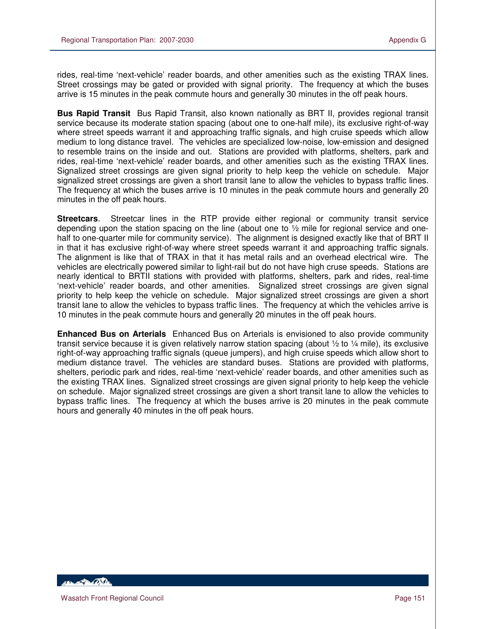rides, real-time 'next-vehicle' reader boards, and other amenities such as the existing TRAX lines. Street crossings may be gated or provided with signal priority. The frequency at which the buses arrive is 15 minutes in the peak commute hours and generally 30 minutes in the off peak hours.

**Bus Rapid Transit** Bus Rapid Transit, also known nationally as BRT II, provides regional transit service because its moderate station spacing (about one to one-half mile), its exclusive right-of-way where street speeds warrant it and approaching traffic signals, and high cruise speeds which allow medium to long distance travel. The vehicles are specialized low-noise, low-emission and designed to resemble trains on the inside and out. Stations are provided with platforms, shelters, park and rides, real-time 'next-vehicle' reader boards, and other amenities such as the existing TRAX lines. Signalized street crossings are given signal priority to help keep the vehicle on schedule. Major signalized street crossings are given a short transit lane to allow the vehicles to bypass traffic lines. The frequency at which the buses arrive is 10 minutes in the peak commute hours and generally 20 minutes in the off peak hours.

**Streetcars**. Streetcar lines in the RTP provide either regional or community transit service depending upon the station spacing on the line (about one to ½ mile for regional service and onehalf to one-quarter mile for community service). The alignment is designed exactly like that of BRT II in that it has exclusive right-of-way where street speeds warrant it and approaching traffic signals. The alignment is like that of TRAX in that it has metal rails and an overhead electrical wire. The vehicles are electrically powered similar to light-rail but do not have high cruse speeds. Stations are nearly identical to BRTII stations with provided with platforms, shelters, park and rides, real-time 'next-vehicle' reader boards, and other amenities. Signalized street crossings are given signal priority to help keep the vehicle on schedule. Major signalized street crossings are given a short transit lane to allow the vehicles to bypass traffic lines. The frequency at which the vehicles arrive is 10 minutes in the peak commute hours and generally 20 minutes in the off peak hours.

**Enhanced Bus on Arterials** Enhanced Bus on Arterials is envisioned to also provide community transit service because it is given relatively narrow station spacing (about  $\frac{1}{2}$  to  $\frac{1}{4}$  mile), its exclusive right-of-way approaching traffic signals (queue jumpers), and high cruise speeds which allow short to medium distance travel. The vehicles are standard buses. Stations are provided with platforms, shelters, periodic park and rides, real-time 'next-vehicle' reader boards, and other amenities such as the existing TRAX lines. Signalized street crossings are given signal priority to help keep the vehicle on schedule. Major signalized street crossings are given a short transit lane to allow the vehicles to bypass traffic lines. The frequency at which the buses arrive is 20 minutes in the peak commute hours and generally 40 minutes in the off peak hours.

**ABLACE DE LA CONTENTE**